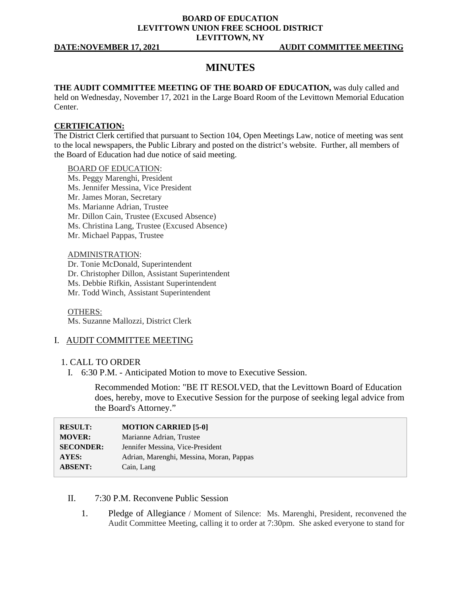### **BOARD OF EDUCATION LEVITTOWN UNION FREE SCHOOL DISTRICT LEVITTOWN, NY**

# **MINUTES**

**THE AUDIT COMMITTEE MEETING OF THE BOARD OF EDUCATION,** was duly called and held on Wednesday, November 17, 2021 in the Large Board Room of the Levittown Memorial Education Center.

#### **CERTIFICATION:**

The District Clerk certified that pursuant to Section 104, Open Meetings Law, notice of meeting was sent to the local newspapers, the Public Library and posted on the district's website. Further, all members of the Board of Education had due notice of said meeting.

#### BOARD OF EDUCATION:

- Ms. Peggy Marenghi, President
- Ms. Jennifer Messina, Vice President
- Mr. James Moran, Secretary
- Ms. Marianne Adrian, Trustee
- Mr. Dillon Cain, Trustee (Excused Absence)
- Ms. Christina Lang, Trustee (Excused Absence)
- Mr. Michael Pappas, Trustee

#### ADMINISTRATION:

Dr. Tonie McDonald, Superintendent

- Dr. Christopher Dillon, Assistant Superintendent
- Ms. Debbie Rifkin, Assistant Superintendent
- Mr. Todd Winch, Assistant Superintendent

## OTHERS:

Ms. Suzanne Mallozzi, District Clerk

# I. AUDIT COMMITTEE MEETING

## 1. CALL TO ORDER

I. 6:30 P.M. - Anticipated Motion to move to Executive Session.

Recommended Motion: "BE IT RESOLVED, that the Levittown Board of Education does, hereby, move to Executive Session for the purpose of seeking legal advice from the Board's Attorney."

| <b>RESULT:</b>   | <b>MOTION CARRIED [5-0]</b>              |
|------------------|------------------------------------------|
| <b>MOVER:</b>    | Marianne Adrian, Trustee                 |
| <b>SECONDER:</b> | Jennifer Messina, Vice-President         |
| <b>AYES:</b>     | Adrian, Marenghi, Messina, Moran, Pappas |
| <b>ABSENT:</b>   | Cain, Lang                               |

# II. 7:30 P.M. Reconvene Public Session

1. Pledge of Allegiance / Moment of Silence: Ms. Marenghi, President, reconvened the Audit Committee Meeting, calling it to order at 7:30pm. She asked everyone to stand for